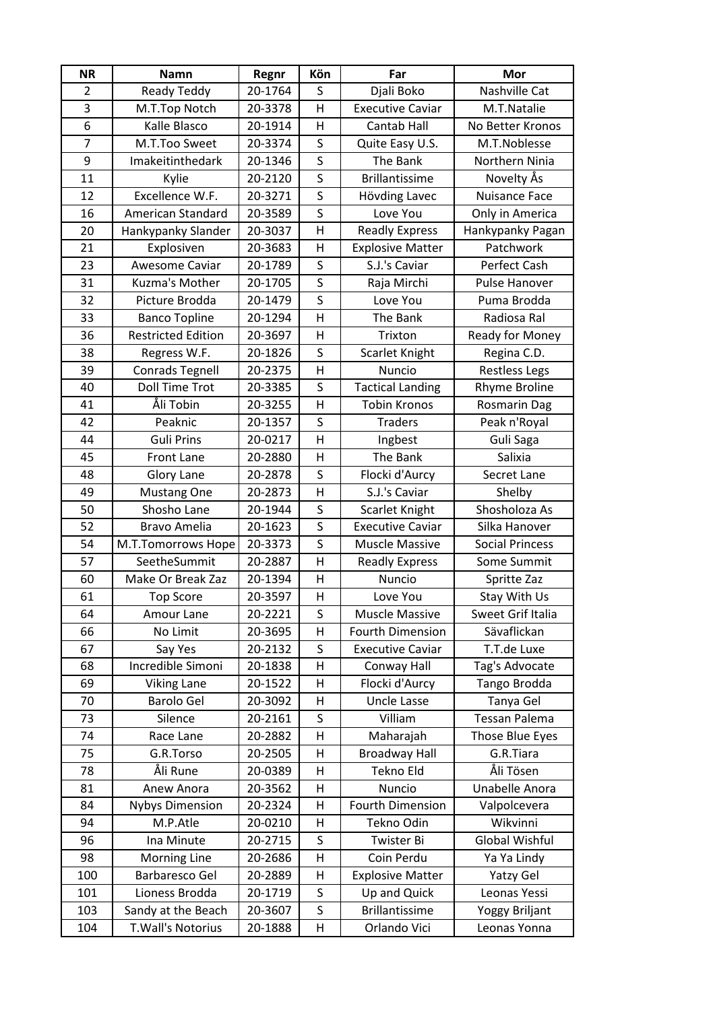| <b>NR</b>      | <b>Namn</b>               | Regnr   | Kön          | Far                     | Mor                    |
|----------------|---------------------------|---------|--------------|-------------------------|------------------------|
| $\overline{2}$ | Ready Teddy               | 20-1764 | S            | Djali Boko              | Nashville Cat          |
| 3              | M.T.Top Notch             | 20-3378 | H            | <b>Executive Caviar</b> | M.T.Natalie            |
| 6              | Kalle Blasco              | 20-1914 | H            | Cantab Hall             | No Better Kronos       |
| $\overline{7}$ | M.T.Too Sweet             | 20-3374 | $\sf S$      | Quite Easy U.S.         | M.T.Noblesse           |
| 9              | Imakeitinthedark          | 20-1346 | S            | The Bank                | Northern Ninia         |
| 11             | Kylie                     | 20-2120 | S            | <b>Brillantissime</b>   | Novelty Ås             |
| 12             | Excellence W.F.           | 20-3271 | S            | Hövding Lavec           | <b>Nuisance Face</b>   |
| 16             | American Standard         | 20-3589 | S            | Love You                | Only in America        |
| 20             | Hankypanky Slander        | 20-3037 | H            | <b>Readly Express</b>   | Hankypanky Pagan       |
| 21             | Explosiven                | 20-3683 | H            | <b>Explosive Matter</b> | Patchwork              |
| 23             | Awesome Caviar            | 20-1789 | S            | S.J.'s Caviar           | Perfect Cash           |
| 31             | Kuzma's Mother            | 20-1705 | S            | Raja Mirchi             | Pulse Hanover          |
| 32             | Picture Brodda            | 20-1479 | S            | Love You                | Puma Brodda            |
| 33             | <b>Banco Topline</b>      | 20-1294 | $\mathsf{H}$ | The Bank                | Radiosa Ral            |
| 36             | <b>Restricted Edition</b> | 20-3697 | H            | Trixton                 | Ready for Money        |
| 38             | Regress W.F.              | 20-1826 | S            | Scarlet Knight          | Regina C.D.            |
| 39             | <b>Conrads Tegnell</b>    | 20-2375 | H            | <b>Nuncio</b>           | <b>Restless Legs</b>   |
| 40             | <b>Doll Time Trot</b>     | 20-3385 | S            | <b>Tactical Landing</b> | <b>Rhyme Broline</b>   |
| 41             | Åli Tobin                 | 20-3255 | H            | <b>Tobin Kronos</b>     | <b>Rosmarin Dag</b>    |
| 42             | Peaknic                   | 20-1357 | S            | <b>Traders</b>          | Peak n'Royal           |
| 44             | <b>Guli Prins</b>         | 20-0217 | H            | Ingbest                 | Guli Saga              |
| 45             | <b>Front Lane</b>         | 20-2880 | H            | The Bank                | Salixia                |
| 48             | Glory Lane                | 20-2878 | S            | Flocki d'Aurcy          | Secret Lane            |
| 49             | <b>Mustang One</b>        | 20-2873 | H            | S.J.'s Caviar           | Shelby                 |
| 50             | Shosho Lane               | 20-1944 | S            | Scarlet Knight          | Shosholoza As          |
| 52             | <b>Bravo Amelia</b>       | 20-1623 | S            | <b>Executive Caviar</b> | Silka Hanover          |
| 54             | M.T.Tomorrows Hope        | 20-3373 | S            | <b>Muscle Massive</b>   | <b>Social Princess</b> |
| 57             | SeetheSummit              | 20-2887 | H            | <b>Readly Express</b>   | Some Summit            |
| 60             | Make Or Break Zaz         | 20-1394 | H            | Nuncio                  | Spritte Zaz            |
| 61             | <b>Top Score</b>          | 20-3597 | $\mathsf{H}$ | Love You                | Stay With Us           |
| 64             | Amour Lane                | 20-2221 | S            | <b>Muscle Massive</b>   | Sweet Grif Italia      |
| 66             | No Limit                  | 20-3695 | $\sf H$      | <b>Fourth Dimension</b> | Sävaflickan            |
| 67             | Say Yes                   | 20-2132 | S            | <b>Executive Caviar</b> | T.T.de Luxe            |
| 68             | Incredible Simoni         | 20-1838 | H            | Conway Hall             | Tag's Advocate         |
| 69             | <b>Viking Lane</b>        | 20-1522 | н            | Flocki d'Aurcy          | Tango Brodda           |
| 70             | <b>Barolo Gel</b>         | 20-3092 | H            | <b>Uncle Lasse</b>      | Tanya Gel              |
| 73             | Silence                   | 20-2161 | S            | Villiam                 | <b>Tessan Palema</b>   |
| 74             | Race Lane                 | 20-2882 | H            | Maharajah               | Those Blue Eyes        |
| 75             | G.R.Torso                 | 20-2505 | $\mathsf{H}$ | <b>Broadway Hall</b>    | G.R.Tiara              |
| 78             | Åli Rune                  | 20-0389 | н            | Tekno Eld               | Åli Tösen              |
| 81             | Anew Anora                | 20-3562 | H            | Nuncio                  | Unabelle Anora         |
| 84             | <b>Nybys Dimension</b>    | 20-2324 | H            | <b>Fourth Dimension</b> | Valpolcevera           |
| 94             | M.P.Atle                  | 20-0210 | H            | Tekno Odin              | Wikvinni               |
| 96             | Ina Minute                | 20-2715 | S            | Twister Bi              | Global Wishful         |
| 98             | Morning Line              | 20-2686 | H            | Coin Perdu              | Ya Ya Lindy            |
| 100            | Barbaresco Gel            | 20-2889 | H            | <b>Explosive Matter</b> | Yatzy Gel              |
| 101            | Lioness Brodda            | 20-1719 | S            | Up and Quick            | Leonas Yessi           |
| 103            | Sandy at the Beach        | 20-3607 | S            | <b>Brillantissime</b>   | Yoggy Briljant         |
| 104            | T. Wall's Notorius        | 20-1888 | H            | Orlando Vici            | Leonas Yonna           |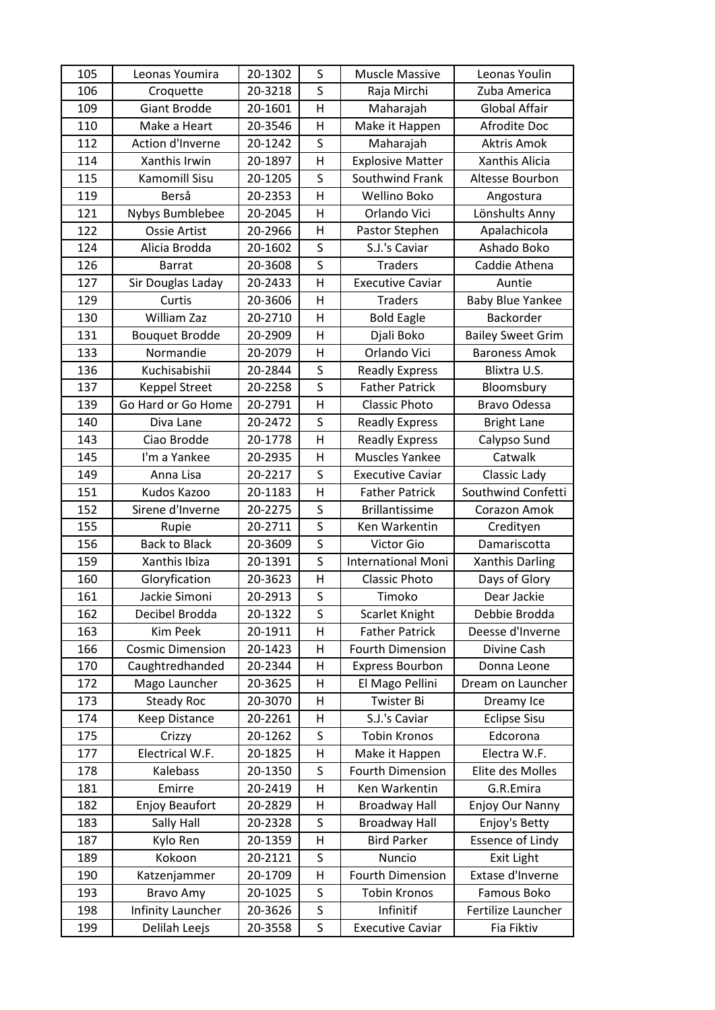| 105 | Leonas Youmira          | 20-1302 | S | <b>Muscle Massive</b>     | Leonas Youlin            |
|-----|-------------------------|---------|---|---------------------------|--------------------------|
| 106 | Croquette               | 20-3218 | S | Raja Mirchi               | Zuba America             |
| 109 | Giant Brodde            | 20-1601 | H | Maharajah                 | <b>Global Affair</b>     |
| 110 | Make a Heart            | 20-3546 | H | Make it Happen            | Afrodite Doc             |
| 112 | Action d'Inverne        | 20-1242 | S | Maharajah                 | Aktris Amok              |
| 114 | Xanthis Irwin           | 20-1897 | H | <b>Explosive Matter</b>   | Xanthis Alicia           |
| 115 | Kamomill Sisu           | 20-1205 | S | Southwind Frank           | Altesse Bourbon          |
| 119 | Berså                   | 20-2353 | н | Wellino Boko              | Angostura                |
| 121 | Nybys Bumblebee         | 20-2045 | H | Orlando Vici              | Lönshults Anny           |
| 122 | Ossie Artist            | 20-2966 | н | Pastor Stephen            | Apalachicola             |
| 124 | Alicia Brodda           | 20-1602 | S | S.J.'s Caviar             | Ashado Boko              |
| 126 | <b>Barrat</b>           | 20-3608 | S | <b>Traders</b>            | Caddie Athena            |
| 127 | Sir Douglas Laday       | 20-2433 | H | <b>Executive Caviar</b>   | Auntie                   |
| 129 | Curtis                  | 20-3606 | H | <b>Traders</b>            | <b>Baby Blue Yankee</b>  |
| 130 | <b>William Zaz</b>      | 20-2710 | H | <b>Bold Eagle</b>         | Backorder                |
| 131 | <b>Bouquet Brodde</b>   | 20-2909 | H | Djali Boko                | <b>Bailey Sweet Grim</b> |
| 133 | Normandie               | 20-2079 | H | Orlando Vici              | <b>Baroness Amok</b>     |
| 136 | Kuchisabishii           | 20-2844 | S | <b>Readly Express</b>     | Blixtra U.S.             |
| 137 | <b>Keppel Street</b>    | 20-2258 | S | <b>Father Patrick</b>     | Bloomsbury               |
| 139 | Go Hard or Go Home      | 20-2791 | H | <b>Classic Photo</b>      | Bravo Odessa             |
| 140 | Diva Lane               | 20-2472 | S | <b>Readly Express</b>     | <b>Bright Lane</b>       |
| 143 | Ciao Brodde             | 20-1778 | H | <b>Readly Express</b>     | Calypso Sund             |
| 145 | I'm a Yankee            | 20-2935 | H | Muscles Yankee            | Catwalk                  |
| 149 | Anna Lisa               | 20-2217 | S | <b>Executive Caviar</b>   | Classic Lady             |
| 151 | Kudos Kazoo             | 20-1183 | H | <b>Father Patrick</b>     | Southwind Confetti       |
|     | Sirene d'Inverne        | 20-2275 | S | <b>Brillantissime</b>     | Corazon Amok             |
| 152 |                         |         |   |                           |                          |
| 155 | Rupie                   | 20-2711 | S | Ken Warkentin             | Credityen                |
| 156 | <b>Back to Black</b>    | 20-3609 | S | Victor Gio                | Damariscotta             |
| 159 | Xanthis Ibiza           | 20-1391 | S | <b>International Moni</b> | <b>Xanthis Darling</b>   |
| 160 | Gloryfication           | 20-3623 | H | <b>Classic Photo</b>      | Days of Glory            |
| 161 | Jackie Simoni           | 20-2913 | S | Timoko                    | Dear Jackie              |
| 162 | Decibel Brodda          | 20-1322 | S | Scarlet Knight            | Debbie Brodda            |
| 163 | Kim Peek                | 20-1911 | Η | <b>Father Patrick</b>     | Deesse d'Inverne         |
| 166 | <b>Cosmic Dimension</b> | 20-1423 | н | <b>Fourth Dimension</b>   | Divine Cash              |
| 170 | Caughtredhanded         | 20-2344 | H | <b>Express Bourbon</b>    | Donna Leone              |
| 172 | Mago Launcher           | 20-3625 | н | El Mago Pellini           | Dream on Launcher        |
| 173 | <b>Steady Roc</b>       | 20-3070 | Н | Twister Bi                | Dreamy Ice               |
| 174 | Keep Distance           | 20-2261 | Н | S.J.'s Caviar             | <b>Eclipse Sisu</b>      |
| 175 | Crizzy                  | 20-1262 | S | <b>Tobin Kronos</b>       | Edcorona                 |
| 177 | Electrical W.F.         | 20-1825 | Н | Make it Happen            | Electra W.F.             |
| 178 | Kalebass                | 20-1350 | S | <b>Fourth Dimension</b>   | Elite des Molles         |
| 181 | Emirre                  | 20-2419 | Н | Ken Warkentin             | G.R.Emira                |
| 182 | <b>Enjoy Beaufort</b>   | 20-2829 | н | <b>Broadway Hall</b>      | Enjoy Our Nanny          |
| 183 | Sally Hall              | 20-2328 | S | <b>Broadway Hall</b>      | Enjoy's Betty            |
| 187 | Kylo Ren                | 20-1359 | Н | <b>Bird Parker</b>        | <b>Essence of Lindy</b>  |
| 189 | Kokoon                  | 20-2121 | S | Nuncio                    | Exit Light               |
| 190 | Katzenjammer            | 20-1709 | Н | <b>Fourth Dimension</b>   | Extase d'Inverne         |
| 193 | Bravo Amy               | 20-1025 | S | <b>Tobin Kronos</b>       | Famous Boko              |
| 198 | Infinity Launcher       | 20-3626 | S | Infinitif                 | Fertilize Launcher       |